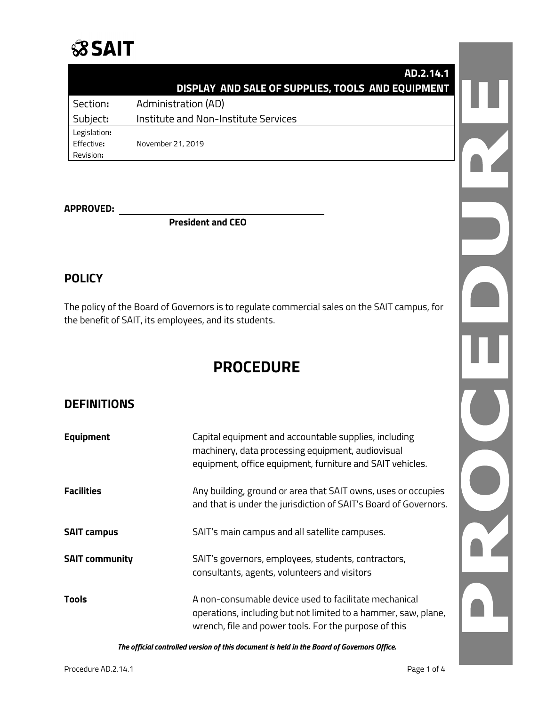## **SSAIT**

| AD.2.14.1                                         |
|---------------------------------------------------|
| DISPLAY AND SALE OF SUPPLIES, TOOLS AND EQUIPMENT |
| Administration (AD)<br>Section:                   |
| Subject:<br>Institute and Non-Institute Services  |
| Legislation:                                      |
| Effective:<br>November 21, 2019                   |
| Revision:                                         |
|                                                   |
|                                                   |

#### **APPROVED:**

**President and CEO**

#### **POLICY**

The policy of the Board of Governors is to regulate commercial sales on the SAIT campus, for the benefit of SAIT, its employees, and its students.

### **PROCEDURE**

#### **DEFINITIONS**

| <b>Equipment</b>      | Capital equipment and accountable supplies, including<br>machinery, data processing equipment, audiovisual<br>equipment, office equipment, furniture and SAIT vehicles.          |
|-----------------------|----------------------------------------------------------------------------------------------------------------------------------------------------------------------------------|
| <b>Facilities</b>     | Any building, ground or area that SAIT owns, uses or occupies<br>and that is under the jurisdiction of SAIT's Board of Governors.                                                |
| <b>SAIT campus</b>    | SAIT's main campus and all satellite campuses.                                                                                                                                   |
| <b>SAIT community</b> | SAIT's governors, employees, students, contractors,<br>consultants, agents, volunteers and visitors                                                                              |
| <b>Tools</b>          | A non-consumable device used to facilitate mechanical<br>operations, including but not limited to a hammer, saw, plane,<br>wrench, file and power tools. For the purpose of this |

*The official controlled version of this document is held in the Board of Governors Office.*

D C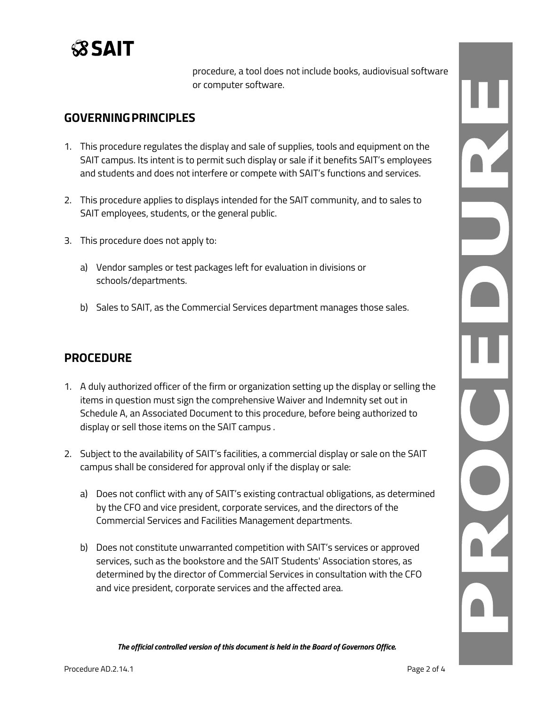

procedure, a tool does not include books, audiovisual software or computer software.

#### **GOVERNINGPRINCIPLES**

- 1. This procedure regulates the display and sale of supplies, tools and equipment on the SAIT campus. Its intent is to permit such display or sale if it benefits SAIT's employees and students and does not interfere or compete with SAIT's functions and services.
- 2. This procedure applies to displays intended for the SAIT community, and to sales to SAIT employees, students, or the general public.
- 3. This procedure does not apply to:
	- a) Vendor samples or test packages left for evaluation in divisions or schools/departments.
	- b) Sales to SAIT, as the Commercial Services department manages those sales.

#### **PROCEDURE**

- 1. A duly authorized officer of the firm or organization setting up the display or selling the items in question must sign the comprehensive Waiver and Indemnity set out in Schedule A, an Associated Document to this procedure, before being authorized to display or sell those items on the SAIT campus .
- 2. Subject to the availability of SAIT's facilities, a commercial display or sale on the SAIT campus shall be considered for approval only if the display or sale:
	- a) Does not conflict with any of SAIT's existing contractual obligations, as determined by the CFO and vice president, corporate services, and the directors of the Commercial Services and Facilities Management departments.
	- b) Does not constitute unwarranted competition with SAIT's services or approved services, such as the bookstore and the SAIT Students' Association stores, as determined by the director of Commercial Services in consultation with the CFO and vice president, corporate services and the affected area.

*The official controlled version of this document is held in the Board of Governors Office.*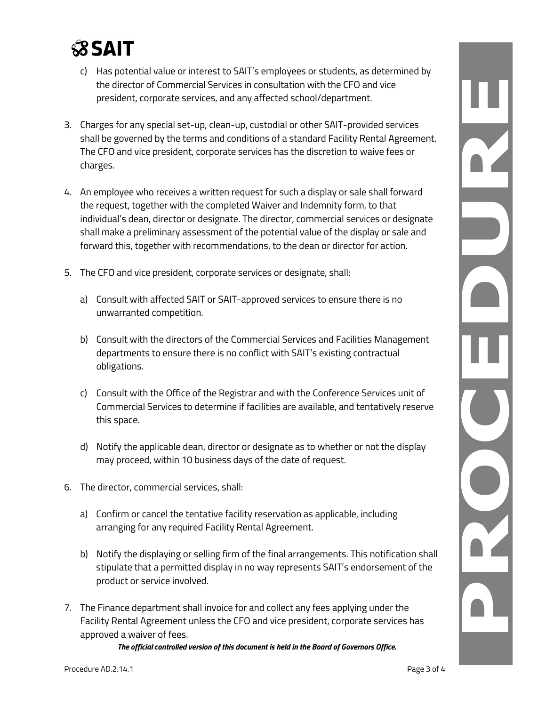

- c) Has potential value or interest to SAIT's employees or students, as determined by the director of Commercial Services in consultation with the CFO and vice president, corporate services, and any affected school/department.
- 3. Charges for any special set-up, clean-up, custodial or other SAIT-provided services shall be governed by the terms and conditions of a standard Facility Rental Agreement. The CFO and vice president, corporate services has the discretion to waive fees or charges.
- 4. An employee who receives a written request for such a display or sale shall forward the request, together with the completed Waiver and Indemnity form, to that individual's dean, director or designate. The director, commercial services or designate shall make a preliminary assessment of the potential value of the display or sale and forward this, together with recommendations, to the dean or director for action.
- 5. The CFO and vice president, corporate services or designate, shall:
	- a) Consult with affected SAIT or SAIT-approved services to ensure there is no unwarranted competition.
	- b) Consult with the directors of the Commercial Services and Facilities Management departments to ensure there is no conflict with SAIT's existing contractual obligations.
	- c) Consult with the Office of the Registrar and with the Conference Services unit of Commercial Services to determine if facilities are available, and tentatively reserve this space.
	- d) Notify the applicable dean, director or designate as to whether or not the display may proceed, within 10 business days of the date of request.
- 6. The director, commercial services, shall:
	- a) Confirm or cancel the tentative facility reservation as applicable, including arranging for any required Facility Rental Agreement.
	- b) Notify the displaying or selling firm of the final arrangements. This notification shall stipulate that a permitted display in no way represents SAIT's endorsement of the product or service involved.
- 7. The Finance department shall invoice for and collect any fees applying under the Facility Rental Agreement unless the CFO and vice president, corporate services has approved a waiver of fees.

*The official controlled version of this document is held in the Board of Governors Office.*